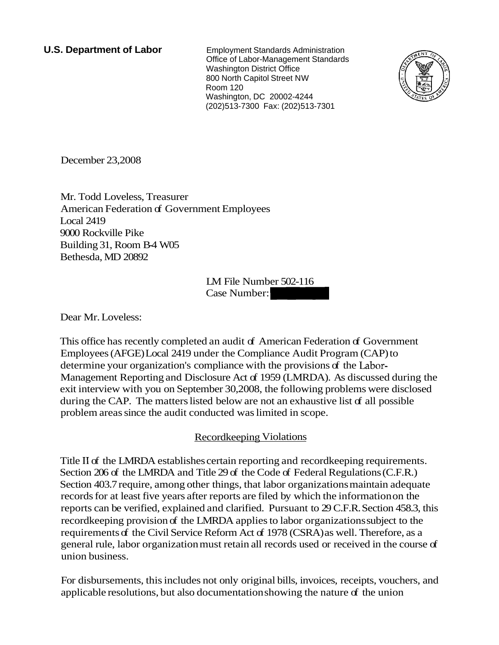**U.S. Department of Labor** Employment Standards Administration Office of Labor-Management Standards Washington District Office 800 North Capitol Street NW Room 120 Washington, DC 20002-4244 (202)513-7300 Fax: (202)513-7301



December 23,2008

Mr. Todd Loveless, Treasurer American Federation of Government Employees Local 2419 9000 Rockville Pike Building 31, Room B-4 W05 Bethesda, MD 20892 ent Employees<br>LM File Number 502-116<br>Case Number:

LM File Number 502-116

Dear Mr. Loveless:

This office has recently completed an audit of American Federation of Government Employees (AFGE) Local 2419 under the Compliance Audit Program (CAP) to determine your organization's compliance with the provisions of the Labor-Management Reporting and Disclosure Act of 1959 (LMRDA). As discussed during the exit interview with you on September 30,2008, the following problems were disclosed during the CAP. The matters listed below are not an exhaustive list of all possible problem areas since the audit conducted was limited in scope.

#### Recordkeeping Violations

Title I1 of the LMRDA establishes certain reporting and recordkeeping requirements. Section 206 of the LMRDA and Title 29 of the Code of Federal Regulations (C.F.R.) Section 403.7 require, among other things, that labor organizations maintain adequate records for at least five years after reports are filed by which the information on the reports can be verified, explained and clarified. Pursuant to 29 C.F.R. Section 458.3, this recordkeeping provision of the LMRDA applies to labor organizations subject to the requirements of the Civil Service Reform Act of 1978 (CSRA) as well. Therefore, as a general rule, labor organization must retain all records used or received in the course of union business.

For disbursements, this includes not only original bills, invoices, receipts, vouchers, and applicable resolutions, but also documentation showing the nature of the union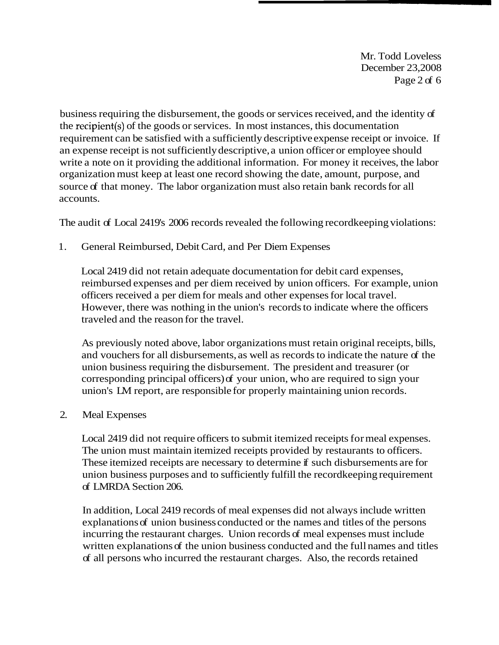Mr. Todd Loveless December 23,2008 Page 2 of 6

business requiring the disbursement, the goods or services received, and the identity of the recipient(s) of the goods or services. In most instances, this documentation requirement can be satisfied with a sufficiently descriptive expense receipt or invoice. If an expense receipt is not sufficiently descriptive, a union officer or employee should write a note on it providing the additional information. For money it receives, the labor organization must keep at least one record showing the date, amount, purpose, and source of that money. The labor organization must also retain bank records for all accounts.

The audit of Local 2419's 2006 records revealed the following recordkeeping violations:

1. General Reimbursed, Debit Card, and Per Diem Expenses

Local 2419 did not retain adequate documentation for debit card expenses, reimbursed expenses and per diem received by union officers. For example, union officers received a per diem for meals and other expenses for local travel. However, there was nothing in the union's records to indicate where the officers traveled and the reason for the travel.

As previously noted above, labor organizations must retain original receipts, bills, and vouchers for all disbursements, as well as records to indicate the nature of the union business requiring the disbursement. The president and treasurer (or corresponding principal officers) of your union, who are required to sign your union's LM report, are responsible for properly maintaining union records.

## 2. Meal Expenses

Local 2419 did not require officers to submit itemized receipts for meal expenses. The union must maintain itemized receipts provided by restaurants to officers. These itemized receipts are necessary to determine if such disbursements are for union business purposes and to sufficiently fulfill the recordkeeping requirement of LMRDA Section 206.

In addition, Local 2419 records of meal expenses did not always include written explanations of union business conducted or the names and titles of the persons incurring the restaurant charges. Union records of meal expenses must include written explanations of the union business conducted and the full names and titles of all persons who incurred the restaurant charges. Also, the records retained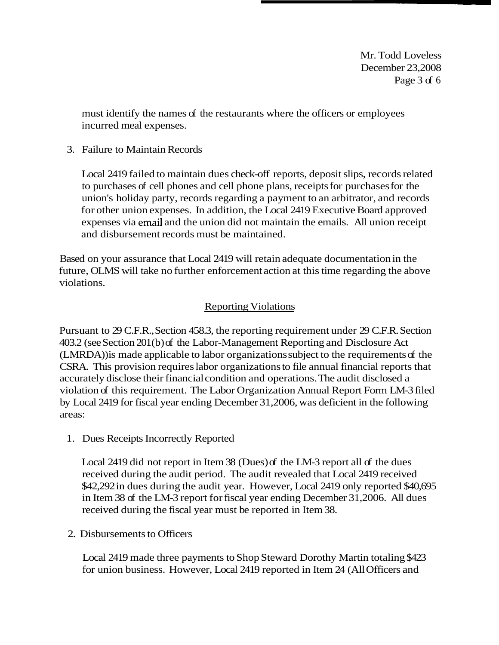Mr. Todd Loveless December 23,2008 Page 3 of 6

must identify the names of the restaurants where the officers or employees incurred meal expenses.

3. Failure to Maintain Records

Local 2419 failed to maintain dues check-off reports, deposit slips, records related to purchases of cell phones and cell phone plans, receipts for purchases for the union's holiday party, records regarding a payment to an arbitrator, and records for other union expenses. In addition, the Local 2419 Executive Board approved expenses via email and the union did not maintain the emails. All union receipt and disbursement records must be maintained.

Based on your assurance that Local 2419 will retain adequate documentation in the future, OLMS will take no further enforcement action at this time regarding the above violations.

# **Reporting Violations**

Pursuant to 29 C.F.R., Section 458.3, the reporting requirement under 29 C.F.R. Section 403.2 (see Section 201 (b) of the Labor-Management Reporting and Disclosure Act (LMRDA)) is made applicable to labor organizations subject to the requirements of the CSRA. This provision requires labor organizations to file annual financial reports that accurately disclose their financial condition and operations. The audit disclosed a violation of this requirement. The Labor Organization Annual Report Form LM-3 filed by Local 2419 for fiscal year ending December 31,2006, was deficient in the following areas:

1. Dues Receipts Incorrectly Reported

Local 2419 did not report in Item 38 (Dues) of the LM-3 report all of the dues received during the audit period. The audit revealed that Local 2419 received \$42,292 in dues during the audit year. However, Local 2419 only reported \$40,695 in Item 38 of the LM-3 report for fiscal year ending December 31,2006. All dues received during the fiscal year must be reported in Item 38.

2. Disbursements to Officers

Local 2419 made three payments to Shop Steward Dorothy Martin totaling \$423 for union business. However, Local 2419 reported in Item 24 (All Officers and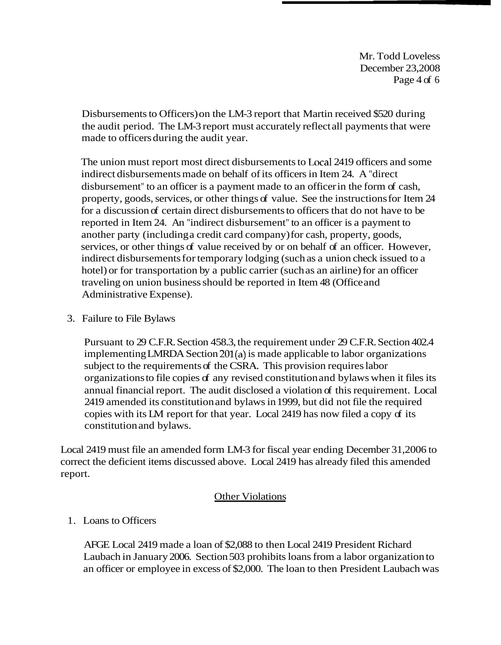Mr. Todd Loveless December 23,2008 Page 4 of 6

Disbursements to Officers) on the LM-3 report that Martin received \$520 during the audit period. The LM-3 report must accurately reflect all payments that were made to officers during the audit year.

The union must report most direct disbursements to Local 2419 officers and some indirect disbursements made on behalf of its officers in Item 24. A "direct disbursement" to an officer is a payment made to an officer in the form of cash, property, goods, services, or other things of value. See the instructions for Item 24 for a discussion of certain direct disbursements to officers that do not have to be reported in Item 24. An "indirect disbursement" to an officer is a payment to another party (including a credit card company) for cash, property, goods, services, or other things of value received by or on behalf of an officer. However, indirect disbursements for temporary lodging (such as a union check issued to a hotel) or for transportation by a public carrier (such as an airline) for an officer traveling on union business should be reported in Item 48 (Office and Administrative Expense).

3. Failure to File Bylaws

Pursuant to 29 C.F.R. Section 458.3, the requirement under 29 C.F.R. Section 402.4 implementing LMRDA Section 201(a) is made applicable to labor organizations subject to the requirements of the CSRA. This provision requires labor organizations to file copies of any revised constitution and bylaws when it files its annual financial report. The audit disclosed a violation of this requirement. Local 2419 amended its constitution and bylaws in 1999, but did not file the required copies with its LM report for that year. Local 2419 has now filed a copy of its constitution and bylaws.

Local 2419 must file an amended form LM-3 for fiscal year ending December 31,2006 to correct the deficient items discussed above. Local 2419 has already filed this amended report.

## Other Violations

#### 1. Loans to Officers

AFGE Local 2419 made a loan of \$2,088 to then Local 2419 President Richard Laubach in January 2006. Section 503 prohibits loans from a labor organization to an officer or employee in excess of \$2,000. The loan to then President Laubach was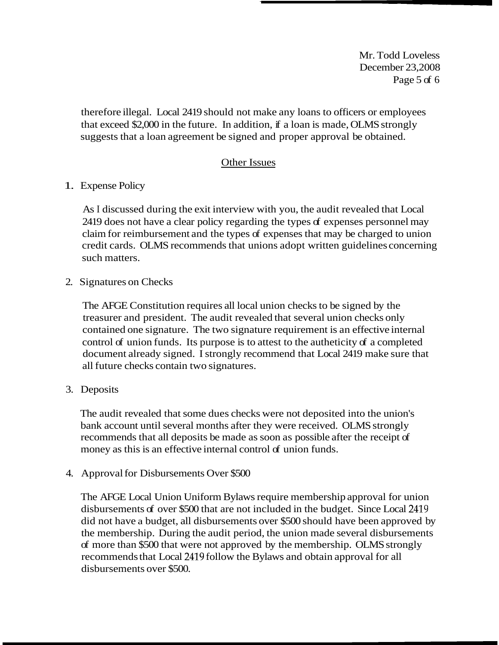Mr. Todd Loveless December 23,2008 Page 5 of 6

therefore illegal. Local 2419 should not make any loans to officers or employees that exceed \$2,000 in the future. In addition, if a loan is made, OLMS strongly suggests that a loan agreement be signed and proper approval be obtained.

### Other Issues

1. Expense Policy

As I discussed during the exit interview with you, the audit revealed that Local 2419 does not have a clear policy regarding the types of expenses personnel may claim for reimbursement and the types of expenses that may be charged to union credit cards. OLMS recommends that unions adopt written guidelines concerning such matters.

2. Signatures on Checks

The AFGE Constitution requires all local union checks to be signed by the treasurer and president. The audit revealed that several union checks only contained one signature. The two signature requirement is an effective internal control of union funds. Its purpose is to attest to the autheticity of a completed document already signed. I strongly recommend that Local 2419 make sure that all future checks contain two signatures.

3. Deposits

The audit revealed that some dues checks were not deposited into the union's bank account until several months after they were received. OLMS strongly recommends that all deposits be made as soon as possible after the receipt of money as this is an effective internal control of union funds.

4. Approval for Disbursements Over \$500

The AFGE Local Union Uniform Bylaws require membership approval for union disbursements of over \$500 that are not included in the budget. Since Local 2419 did not have a budget, all disbursements over \$500 should have been approved by the membership. During the audit period, the union made several disbursements of more than \$500 that were not approved by the membership. OLMS strongly recommends that Local 2419 follow the Bylaws and obtain approval for all disbursements over \$500.